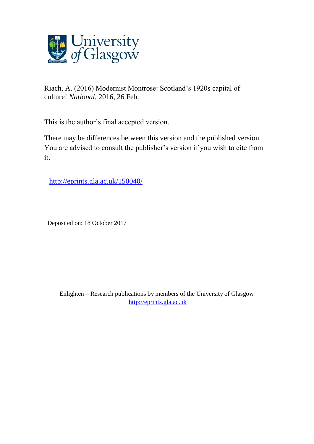

Riach, A. (2016) Modernist Montrose: Scotland's 1920s capital of culture! *National*, 2016, 26 Feb.

This is the author's final accepted version.

There may be differences between this version and the published version. You are advised to consult the publisher's version if you wish to cite from it.

<http://eprints.gla.ac.uk/150040/>

Deposited on: 18 October 2017

Enlighten – Research publications by members of the University of Glasgow [http://eprints.gla.ac.uk](http://eprints.gla.ac.uk/)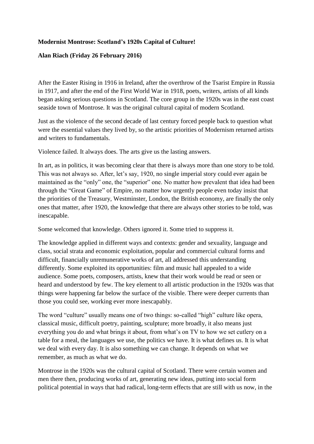## **Modernist Montrose: Scotland's 1920s Capital of Culture!**

## **Alan Riach (Friday 26 February 2016)**

After the Easter Rising in 1916 in Ireland, after the overthrow of the Tsarist Empire in Russia in 1917, and after the end of the First World War in 1918, poets, writers, artists of all kinds began asking serious questions in Scotland. The core group in the 1920s was in the east coast seaside town of Montrose. It was the original cultural capital of modern Scotland.

Just as the violence of the second decade of last century forced people back to question what were the essential values they lived by, so the artistic priorities of Modernism returned artists and writers to fundamentals.

Violence failed. It always does. The arts give us the lasting answers.

In art, as in politics, it was becoming clear that there is always more than one story to be told. This was not always so. After, let's say, 1920, no single imperial story could ever again be maintained as the "only" one, the "superior" one. No matter how prevalent that idea had been through the "Great Game" of Empire, no matter how urgently people even today insist that the priorities of the Treasury, Westminster, London, the British economy, are finally the only ones that matter, after 1920, the knowledge that there are always other stories to be told, was inescapable.

Some welcomed that knowledge. Others ignored it. Some tried to suppress it.

The knowledge applied in different ways and contexts: gender and sexuality, language and class, social strata and economic exploitation, popular and commercial cultural forms and difficult, financially unremunerative works of art, all addressed this understanding differently. Some exploited its opportunities: film and music hall appealed to a wide audience. Some poets, composers, artists, knew that their work would be read or seen or heard and understood by few. The key element to all artistic production in the 1920s was that things were happening far below the surface of the visible. There were deeper currents than those you could see, working ever more inescapably.

The word "culture" usually means one of two things: so-called "high" culture like opera, classical music, difficult poetry, painting, sculpture; more broadly, it also means just everything you do and what brings it about, from what's on TV to how we set cutlery on a table for a meal, the languages we use, the politics we have. It is what defines us. It is what we deal with every day. It is also something we can change. It depends on what we remember, as much as what we do.

Montrose in the 1920s was the cultural capital of Scotland. There were certain women and men there then, producing works of art, generating new ideas, putting into social form political potential in ways that had radical, long-term effects that are still with us now, in the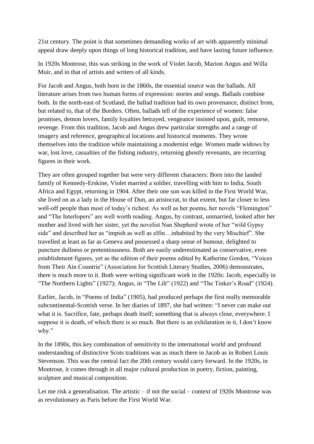21st century. The point is that sometimes demanding works of art with apparently minimal appeal draw deeply upon things of long historical tradition, and have lasting future influence.

In 1920s Montrose, this was striking in the work of Violet Jacob, Marion Angus and Willa Muir, and in that of artists and writers of all kinds.

For Jacob and Angus, both born in the 1860s, the essential source was the ballads. All literature arises from two human forms of expression: stories and songs. Ballads combine both. In the north-east of Scotland, the ballad tradition had its own provenance, distinct from, but related to, that of the Borders. Often, ballads tell of the experience of women: false promises, demon lovers, family loyalties betrayed, vengeance insisted upon, guilt, remorse, revenge. From this tradition, Jacob and Angus drew particular strengths and a range of imagery and reference, geographical locations and historical moments. They wrote themselves into the tradition while maintaining a modernist edge. Women made widows by war, lost love, casualties of the fishing industry, returning ghostly revenants, are recurring figures in their work.

They are often grouped together but were very different characters: Born into the landed family of Kennedy-Erskine, Violet married a soldier, travelling with him to India, South Africa and Egypt, returning in 1904. After their one son was killed in the First World War, she lived on as a lady in the House of Dun, an aristocrat, to that extent, but far closer to less well-off people than most of today's richest. As well as her poems, her novels "Flemington" and "The Interlopers" are well worth reading. Angus, by contrast, unmarried, looked after her mother and lived with her sister, yet the novelist Nan Shepherd wrote of her "wild Gypsy side" and described her as "impish as well as elfin…inhabited by the very Mischief". She travelled at least as far as Geneva and possessed a sharp sense of humour, delighted to puncture dullness or pretentiousness. Both are easily underestimated as conservative, even establishment figures, yet as the edition of their poems edited by Katherine Gordon, "Voices from Their Ain Countrie" (Association for Scottish Literary Studies, 2006) demonstrates, there is much more to it. Both were writing significant work in the 1920s: Jacob, especially in "The Northern Lights" (1927); Angus, in "The Lilt" (1922) and "The Tinker's Road" (1924).

Earlier, Jacob, in "Poems of India" (1905), had produced perhaps the first really memorable subcontinental-Scottish verse. In her diaries of 1897, she had written: "I never can make out what it is. Sacrifice, fate, perhaps death itself; something that is always close, everywhere. I suppose it is death, of which there is so much. But there is an exhilaration in it, I don't know why."

In the 1890s, this key combination of sensitivity to the international world and profound understanding of distinctive Scots traditions was as much there in Jacob as in Robert Louis Stevenson. This was the central fact the 20th century would carry forward. In the 1920s, in Montrose, it comes through in all major cultural production in poetry, fiction, painting, sculpture and musical composition.

Let me risk a generalisation. The artistic – if not the social – context of 1920s Montrose was as revolutionary as Paris before the First World War.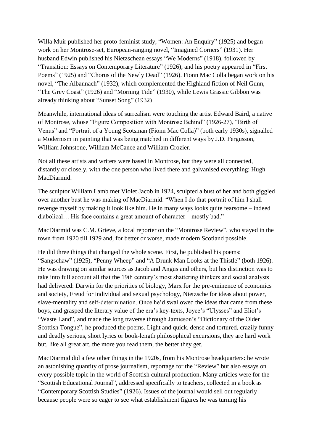Willa Muir published her proto-feminist study, "Women: An Enquiry" (1925) and began work on her Montrose-set, European-ranging novel, "Imagined Corners" (1931). Her husband Edwin published his Nietzschean essays "We Moderns" (1918), followed by "Transition: Essays on Contemporary Literature" (1926), and his poetry appeared in "First Poems" (1925) and "Chorus of the Newly Dead" (1926). Fionn Mac Colla began work on his novel, "The Albannach" (1932), which complemented the Highland fiction of Neil Gunn, "The Grey Coast" (1926) and "Morning Tide" (1930), while Lewis Grassic Gibbon was already thinking about "Sunset Song" (1932)

Meanwhile, international ideas of surrealism were touching the artist Edward Baird, a native of Montrose, whose "Figure Composition with Montrose Behind" (1926-27), "Birth of Venus" and "Portrait of a Young Scotsman (Fionn Mac Colla)" (both early 1930s), signalled a Modernism in painting that was being matched in different ways by J.D. Fergusson, William Johnstone, William McCance and William Crozier.

Not all these artists and writers were based in Montrose, but they were all connected, distantly or closely, with the one person who lived there and galvanised everything: Hugh MacDiarmid.

The sculptor William Lamb met Violet Jacob in 1924, sculpted a bust of her and both giggled over another bust he was making of MacDiarmid: "When I do that portrait of him I shall revenge myself by making it look like him. He in many ways looks quite fearsome – indeed diabolical… His face contains a great amount of character – mostly bad."

MacDiarmid was C.M. Grieve, a local reporter on the "Montrose Review", who stayed in the town from 1920 till 1929 and, for better or worse, made modern Scotland possible.

He did three things that changed the whole scene. First, he published his poems: "Sangschaw" (1925), "Penny Wheep" and "A Drunk Man Looks at the Thistle" (both 1926). He was drawing on similar sources as Jacob and Angus and others, but his distinction was to take into full account all that the 19th century's most shattering thinkers and social analysts had delivered: Darwin for the priorities of biology, Marx for the pre-eminence of economics and society, Freud for individual and sexual psychology, Nietzsche for ideas about power, slave-mentality and self-determination. Once he'd swallowed the ideas that came from these boys, and grasped the literary value of the era's key-texts, Joyce's "Ulysses" and Eliot's "Waste Land", and made the long traverse through Jamieson's "Dictionary of the Older Scottish Tongue", he produced the poems. Light and quick, dense and tortured, crazily funny and deadly serious, short lyrics or book-length philosophical excursions, they are hard work but, like all great art, the more you read them, the better they get.

MacDiarmid did a few other things in the 1920s, from his Montrose headquarters: he wrote an astonishing quantity of prose journalism, reportage for the "Review" but also essays on every possible topic in the world of Scottish cultural production. Many articles were for the "Scottish Educational Journal", addressed specifically to teachers, collected in a book as "Contemporary Scottish Studies" (1926). Issues of the journal would sell out regularly because people were so eager to see what establishment figures he was turning his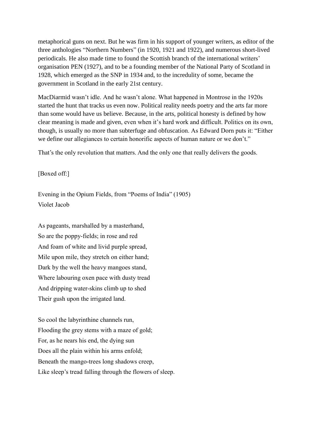metaphorical guns on next. But he was firm in his support of younger writers, as editor of the three anthologies "Northern Numbers" (in 1920, 1921 and 1922), and numerous short-lived periodicals. He also made time to found the Scottish branch of the international writers' organisation PEN (1927), and to be a founding member of the National Party of Scotland in 1928, which emerged as the SNP in 1934 and, to the incredulity of some, became the government in Scotland in the early 21st century.

MacDiarmid wasn't idle. And he wasn't alone. What happened in Montrose in the 1920s started the hunt that tracks us even now. Political reality needs poetry and the arts far more than some would have us believe. Because, in the arts, political honesty is defined by how clear meaning is made and given, even when it's hard work and difficult. Politics on its own, though, is usually no more than subterfuge and obfuscation. As Edward Dorn puts it: "Either we define our allegiances to certain honorific aspects of human nature or we don't."

That's the only revolution that matters. And the only one that really delivers the goods.

[Boxed off:]

Evening in the Opium Fields, from "Poems of India" (1905) Violet Jacob

As pageants, marshalled by a masterhand, So are the poppy-fields; in rose and red And foam of white and livid purple spread, Mile upon mile, they stretch on either hand; Dark by the well the heavy mangoes stand, Where labouring oxen pace with dusty tread And dripping water-skins climb up to shed Their gush upon the irrigated land.

So cool the labyrinthine channels run, Flooding the grey stems with a maze of gold; For, as he nears his end, the dying sun Does all the plain within his arms enfold; Beneath the mango-trees long shadows creep, Like sleep's tread falling through the flowers of sleep.